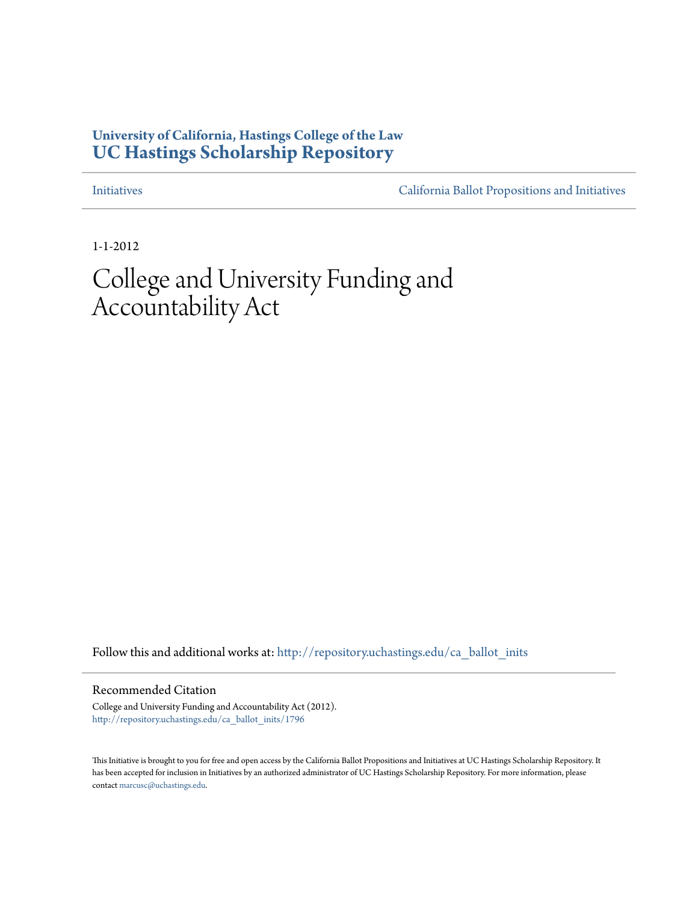# **University of California, Hastings College of the Law [UC Hastings Scholarship Repository](http://repository.uchastings.edu?utm_source=repository.uchastings.edu%2Fca_ballot_inits%2F1796&utm_medium=PDF&utm_campaign=PDFCoverPages)**

[Initiatives](http://repository.uchastings.edu/ca_ballot_inits?utm_source=repository.uchastings.edu%2Fca_ballot_inits%2F1796&utm_medium=PDF&utm_campaign=PDFCoverPages) [California Ballot Propositions and Initiatives](http://repository.uchastings.edu/ca_ballots?utm_source=repository.uchastings.edu%2Fca_ballot_inits%2F1796&utm_medium=PDF&utm_campaign=PDFCoverPages)

1-1-2012

# College and University Funding and Accountability Act

Follow this and additional works at: [http://repository.uchastings.edu/ca\\_ballot\\_inits](http://repository.uchastings.edu/ca_ballot_inits?utm_source=repository.uchastings.edu%2Fca_ballot_inits%2F1796&utm_medium=PDF&utm_campaign=PDFCoverPages)

#### Recommended Citation

College and University Funding and Accountability Act (2012). [http://repository.uchastings.edu/ca\\_ballot\\_inits/1796](http://repository.uchastings.edu/ca_ballot_inits/1796?utm_source=repository.uchastings.edu%2Fca_ballot_inits%2F1796&utm_medium=PDF&utm_campaign=PDFCoverPages)

This Initiative is brought to you for free and open access by the California Ballot Propositions and Initiatives at UC Hastings Scholarship Repository. It has been accepted for inclusion in Initiatives by an authorized administrator of UC Hastings Scholarship Repository. For more information, please contact [marcusc@uchastings.edu](mailto:marcusc@uchastings.edu).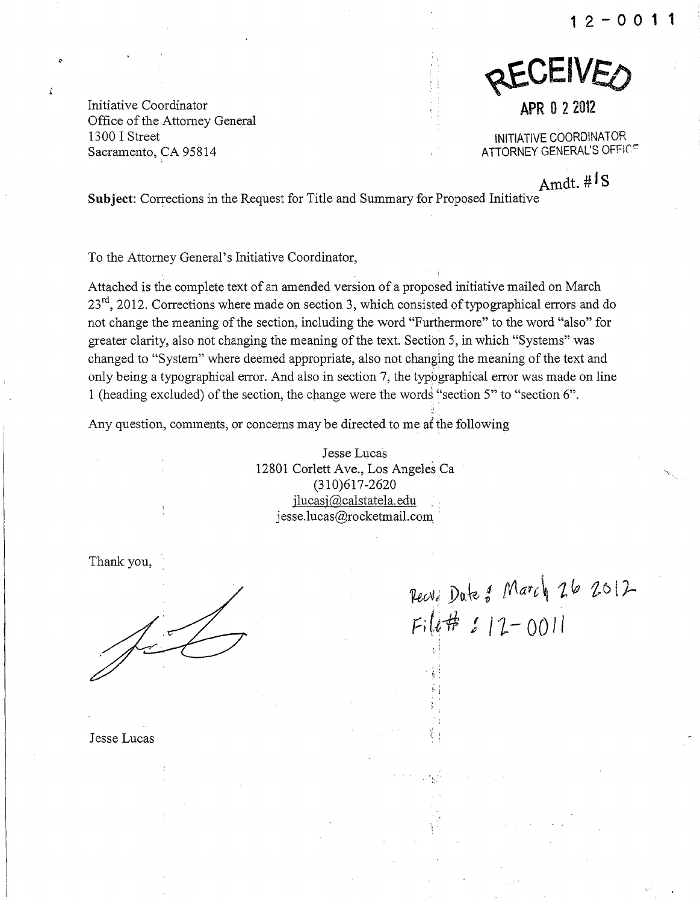**12-0011** 

Initiative Coordinator Office of the Attorney General 1300 I Street Sacramento, CA 95814

REVEIVED

**APR 0 2 2012** 

iNiTIATIVE COORDINATOR ATTORNEY GENERAL'S OFFICE

Amdt. #<sup>1</sup> S

Subject: Corrections in the Request for Title and Summary for Proposed Initiative

To the Attorney General's Initiative Coordinator,

Attached is the complete text of an amended version of a proposed initiative mailed on March  $23<sup>rd</sup>$ , 2012. Corrections where made on section 3, which consisted of typographical errors and do not change the meaning of the section, including the word "Furthermore" to the word "also" for greater clarity, also not changing the meaning of the text. Section 5, in which "Systems" was changed to "System" where deemed appropriate, also not changing the meaning of the text and only being a typographical error. And also in section 7, the typographical error was made on line 1 (heading excluded) of the section, the change were the words "section 5" to "section 6".

Any question, comments, or concerns may be directed to me af the following

Jesse Lucas 12801 Corlett Ave., Los Angeles Ca (310)617 -2620 ilucasj@calstatela.edu, , jesse.lucas@rocketmail.com '

Thank you,

 $\sqrt{2}$ 

Pecv: Date of March 26 2012  $F: l$  #  $11 - 0011$ 

 $\mathfrak{t}$  :

t'

Jesse Lucas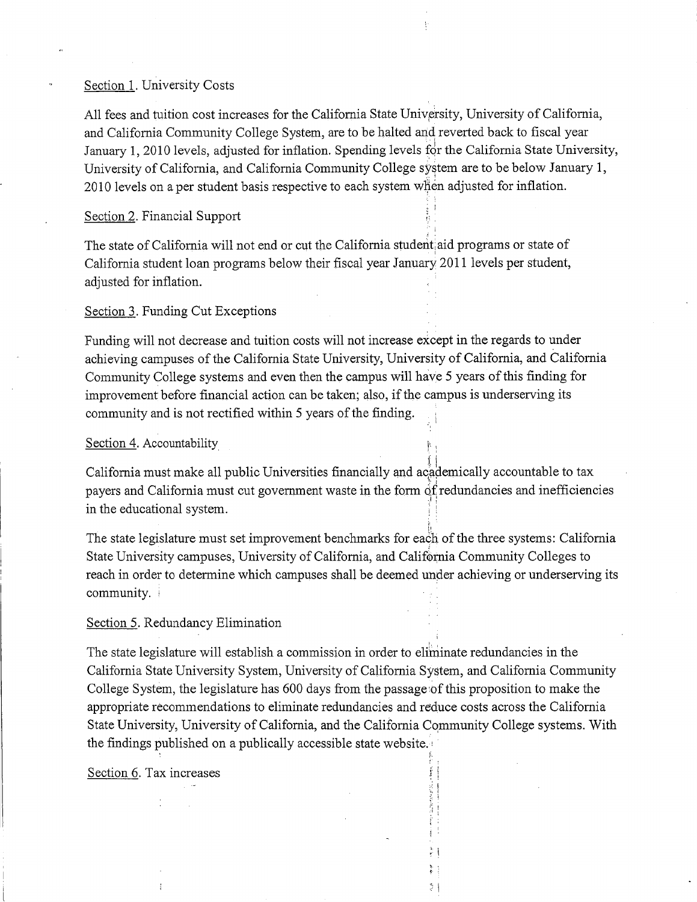#### Section 1. University Costs

All fees and tuition cost increases for the California State University, University of California, and California Community College System, are to be halted and reverted back to fiscal year January 1, 2010 levels, adjusted for inflation. Spending levels for the California State University, University of California, and California Community College system are to be below January 1, 2010 levels on a per student basis respective to each system when adjusted for inflation.

; .

I) 'I

> ,. i . ! '  $\frac{1}{2}$ , .. ~. i 24

#### Section 2. Financial Support

The state of California will not end or cut the California student, aid programs or state of 1 California student loan programs below their fiscal year January 2011 levels per student, adjusted for inflation.

#### Section 3. Funding Cut Exceptions

Funding will not decrease and tuition costs will not increase except in the regards to under achieving campuses of the California State University, University of California, and California Community College systems and even then the campus will have 5 years of this finding for improvement before financial action can be taken; also, if the campus is underserving its community and is not rectified within 5 years of the finding.

#### Section 4. Accountability

California must make all public Universities financially and academically accountable to tax payers and California must cut government waste in the form  $\delta f$  redundancies and inefficiencies in the educational system.

The state legislature must set improvement benchmarks for each of the three systems: California State University campuses, University of California, and California Community Colleges to reach in order to determine which campuses shall be deemed under achieving or underserving its community.

#### Section 5. Redundancy Elimination

The state legislature will establish a commission in order to eliminate redundancies in the California State University System, University of California System, and California Community College System, the legislature has 600 days from the passage of this proposition to make the appropriate recommendations to eliminate redundancies and reduce costs across the California State University, University of California, and the California Community College systems. With the findings published on a publically accessible state website. $\cdot$ , .

Section 6. Tax increases